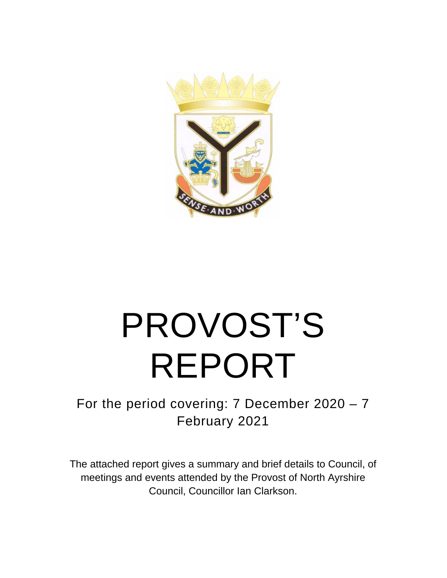

# PROVOST'S REPORT

For the period covering: 7 December 2020 – 7 February 2021

The attached report gives a summary and brief details to Council, of meetings and events attended by the Provost of North Ayrshire Council, Councillor Ian Clarkson.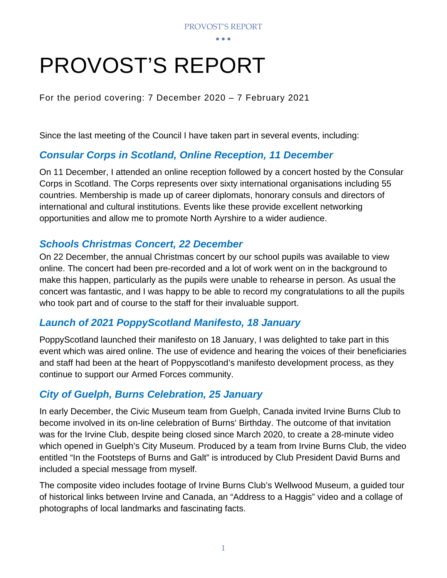• • •

# PROVOST'S REPORT

For the period covering: 7 December 2020 – 7 February 2021

Since the last meeting of the Council I have taken part in several events, including:

# *Consular Corps in Scotland, Online Reception, 11 December*

On 11 December, I attended an online reception followed by a concert hosted by the Consular Corps in Scotland. The Corps represents over sixty international organisations including 55 countries. Membership is made up of career diplomats, honorary consuls and directors of international and cultural institutions. Events like these provide excellent networking opportunities and allow me to promote North Ayrshire to a wider audience.

#### *Schools Christmas Concert, 22 December*

On 22 December, the annual Christmas concert by our school pupils was available to view online. The concert had been pre-recorded and a lot of work went on in the background to make this happen, particularly as the pupils were unable to rehearse in person. As usual the concert was fantastic, and I was happy to be able to record my congratulations to all the pupils who took part and of course to the staff for their invaluable support.

## *Launch of 2021 PoppyScotland Manifesto, 18 January*

PoppyScotland launched their manifesto on 18 January, I was delighted to take part in this event which was aired online. The use of evidence and hearing the voices of their beneficiaries and staff had been at the heart of Poppyscotland's manifesto development process, as they continue to support our Armed Forces community.

## *City of Guelph, Burns Celebration, 25 January*

In early December, the Civic Museum team from Guelph, Canada invited Irvine Burns Club to become involved in its on-line celebration of Burns' Birthday. The outcome of that invitation was for the Irvine Club, despite being closed since March 2020, to create a 28-minute video which opened in Guelph's City Museum. Produced by a team from Irvine Burns Club, the video entitled "In the Footsteps of Burns and Galt" is introduced by Club President David Burns and included a special message from myself.

The composite video includes footage of Irvine Burns Club's Wellwood Museum, a guided tour of historical links between Irvine and Canada, an "Address to a Haggis" video and a collage of photographs of local landmarks and fascinating facts.